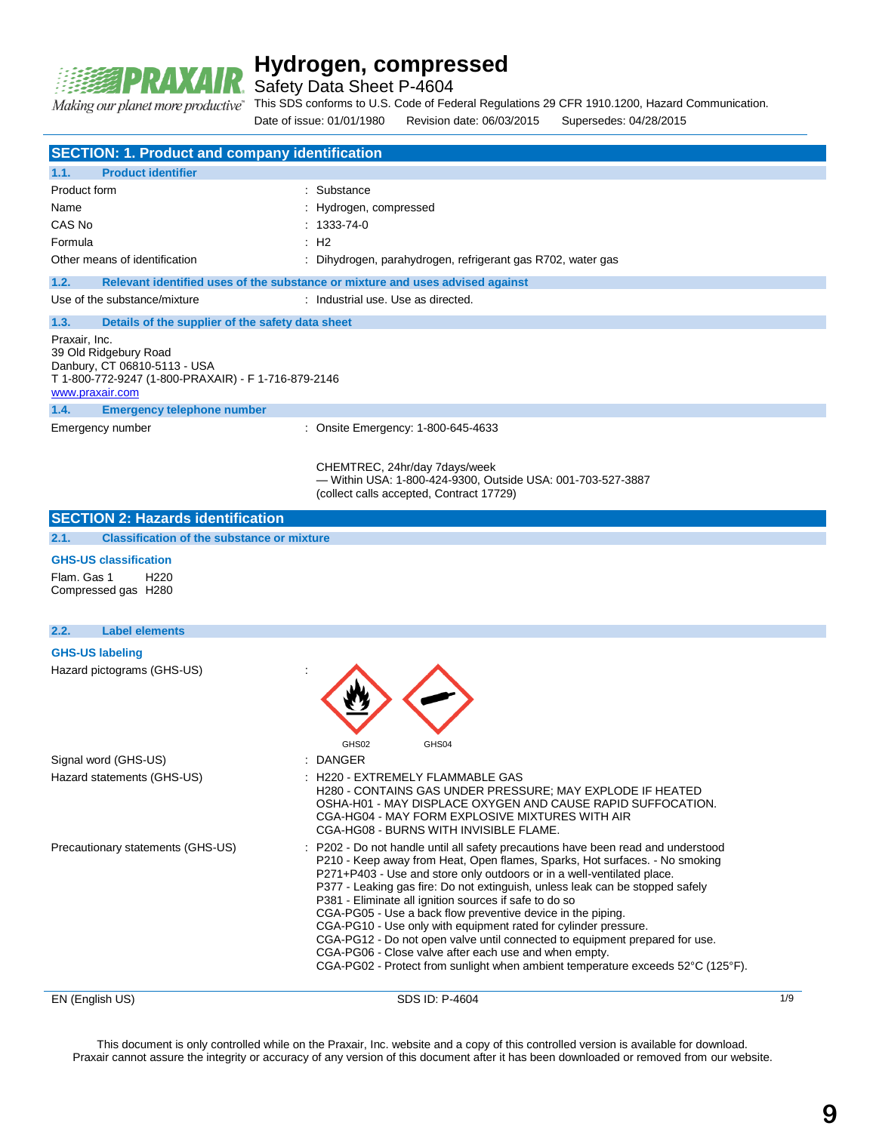

Safety Data Sheet P-4604

This SDS conforms to U.S. Code of Federal Regulations 29 CFR 1910.1200, Hazard Communication. Making our planet more productive"

Date of issue: 01/01/1980 Revision date: 06/03/2015 Supersedes: 04/28/2015 EN (English US) 8DS ID: P-4604 1/9 **SECTION: 1. Product and company identification 1.1. Product identifier** Product form : Substance Name : Hydrogen, compressed CAS No : 1333-74-0 Formula : H2 Other means of identification : Dihydrogen, parahydrogen, refrigerant gas R702, water gas **1.2. Relevant identified uses of the substance or mixture and uses advised against** Use of the substance/mixture : Industrial use. Use as directed. **1.3. Details of the supplier of the safety data sheet** Praxair, Inc. 39 Old Ridgebury Road Danbury, CT 06810-5113 - USA T 1-800-772-9247 (1-800-PRAXAIR) - F 1-716-879-2146 www.praxair.com **1.4. Emergency telephone number** Emergency number : Consite Emergency: 1-800-645-4633 CHEMTREC, 24hr/day 7days/week — Within USA: 1-800-424-9300, Outside USA: 001-703-527-3887 (collect calls accepted, Contract 17729) **SECTION 2: Hazards identification 2.1. Classification of the substance or mixture GHS-US classification** Flam. Gas 1 H220 Compressed gas H280 **2.2. Label elements GHS-US labeling** Hazard pictograms (GHS-US) : GHS02 GHS04 Signal word (GHS-US) **:** DANGER Hazard statements (GHS-US)  $\qquad \qquad$ : H220 - EXTREMELY FLAMMABLE GAS H280 - CONTAINS GAS UNDER PRESSURE; MAY EXPLODE IF HEATED OSHA-H01 - MAY DISPLACE OXYGEN AND CAUSE RAPID SUFFOCATION. CGA-HG04 - MAY FORM EXPLOSIVE MIXTURES WITH AIR CGA-HG08 - BURNS WITH INVISIBLE FLAME. Precautionary statements (GHS-US) : P202 - Do not handle until all safety precautions have been read and understood P210 - Keep away from Heat, Open flames, Sparks, Hot surfaces. - No smoking P271+P403 - Use and store only outdoors or in a well-ventilated place. P377 - Leaking gas fire: Do not extinguish, unless leak can be stopped safely P381 - Eliminate all ignition sources if safe to do so CGA-PG05 - Use a back flow preventive device in the piping. CGA-PG10 - Use only with equipment rated for cylinder pressure. CGA-PG12 - Do not open valve until connected to equipment prepared for use. CGA-PG06 - Close valve after each use and when empty. CGA-PG02 - Protect from sunlight when ambient temperature exceeds 52°C (125°F).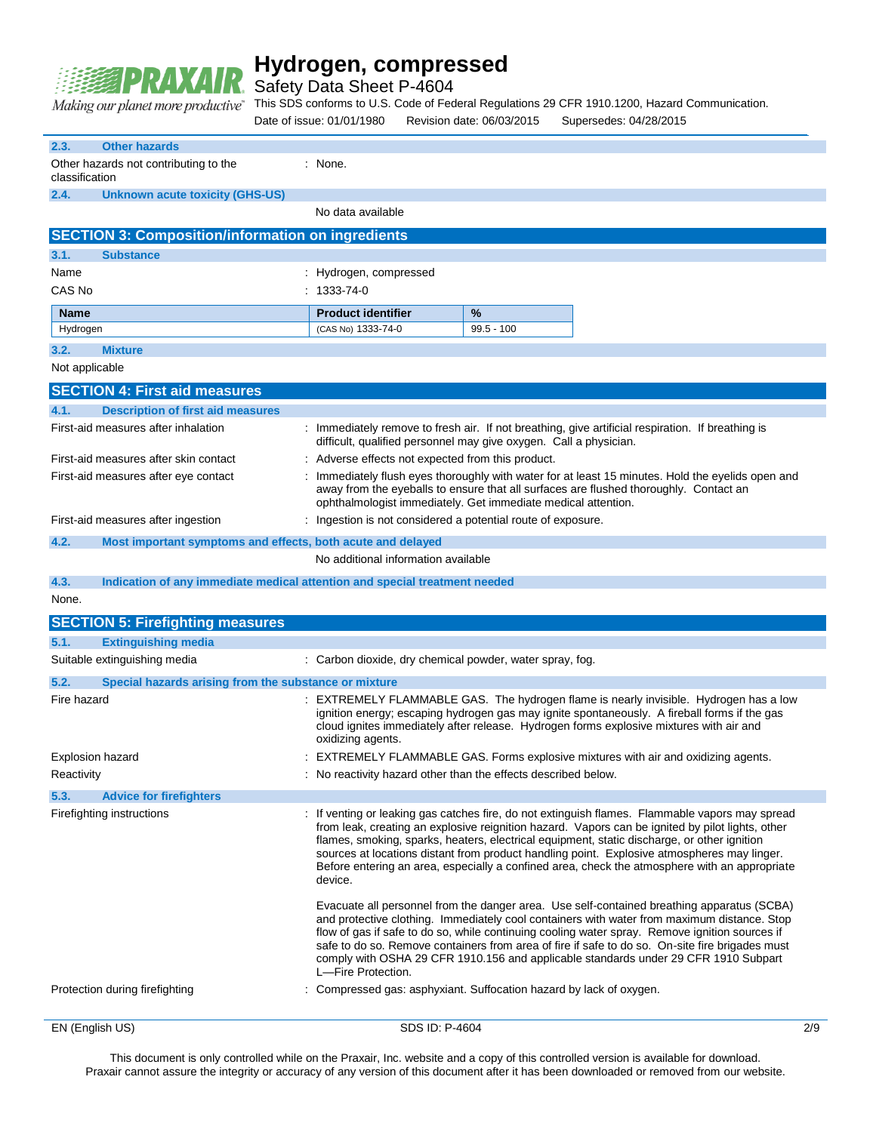

Safety Data Sheet P-4604

This SDS conforms to U.S. Code of Federal Regulations 29 CFR 1910.1200, Hazard Communication.

|                        |                                                                            | Date of issue: 01/01/1980                   |                | Revision date: 06/03/2015                                         | Supersedes: 04/28/2015                                                                                                                                                                                                                                                                                                                                                                                                                                                                             |     |
|------------------------|----------------------------------------------------------------------------|---------------------------------------------|----------------|-------------------------------------------------------------------|----------------------------------------------------------------------------------------------------------------------------------------------------------------------------------------------------------------------------------------------------------------------------------------------------------------------------------------------------------------------------------------------------------------------------------------------------------------------------------------------------|-----|
| 2.3.<br>classification | <b>Other hazards</b><br>Other hazards not contributing to the              | : None.                                     |                |                                                                   |                                                                                                                                                                                                                                                                                                                                                                                                                                                                                                    |     |
| 2.4.                   | <b>Unknown acute toxicity (GHS-US)</b>                                     | No data available                           |                |                                                                   |                                                                                                                                                                                                                                                                                                                                                                                                                                                                                                    |     |
|                        | <b>SECTION 3: Composition/information on ingredients</b>                   |                                             |                |                                                                   |                                                                                                                                                                                                                                                                                                                                                                                                                                                                                                    |     |
| 3.1.                   | <b>Substance</b>                                                           |                                             |                |                                                                   |                                                                                                                                                                                                                                                                                                                                                                                                                                                                                                    |     |
| Name<br>CAS No         |                                                                            | : Hydrogen, compressed<br>$: 1333 - 74 - 0$ |                |                                                                   |                                                                                                                                                                                                                                                                                                                                                                                                                                                                                                    |     |
| Name                   |                                                                            | <b>Product identifier</b>                   |                | %                                                                 |                                                                                                                                                                                                                                                                                                                                                                                                                                                                                                    |     |
| Hydrogen               |                                                                            | (CAS No) 1333-74-0                          |                | $99.5 - 100$                                                      |                                                                                                                                                                                                                                                                                                                                                                                                                                                                                                    |     |
| 3.2.                   | <b>Mixture</b>                                                             |                                             |                |                                                                   |                                                                                                                                                                                                                                                                                                                                                                                                                                                                                                    |     |
| Not applicable         |                                                                            |                                             |                |                                                                   |                                                                                                                                                                                                                                                                                                                                                                                                                                                                                                    |     |
|                        | <b>SECTION 4: First aid measures</b>                                       |                                             |                |                                                                   |                                                                                                                                                                                                                                                                                                                                                                                                                                                                                                    |     |
| 4.1.                   | <b>Description of first aid measures</b>                                   |                                             |                |                                                                   |                                                                                                                                                                                                                                                                                                                                                                                                                                                                                                    |     |
|                        | First-aid measures after inhalation                                        |                                             |                | difficult, qualified personnel may give oxygen. Call a physician. | : Immediately remove to fresh air. If not breathing, give artificial respiration. If breathing is                                                                                                                                                                                                                                                                                                                                                                                                  |     |
|                        | First-aid measures after skin contact                                      |                                             |                | : Adverse effects not expected from this product.                 |                                                                                                                                                                                                                                                                                                                                                                                                                                                                                                    |     |
|                        | First-aid measures after eye contact                                       |                                             |                | ophthalmologist immediately. Get immediate medical attention.     | : Immediately flush eyes thoroughly with water for at least 15 minutes. Hold the eyelids open and<br>away from the eyeballs to ensure that all surfaces are flushed thoroughly. Contact an                                                                                                                                                                                                                                                                                                         |     |
|                        | First-aid measures after ingestion                                         |                                             |                | : Ingestion is not considered a potential route of exposure.      |                                                                                                                                                                                                                                                                                                                                                                                                                                                                                                    |     |
| 4.2.                   | Most important symptoms and effects, both acute and delayed                |                                             |                |                                                                   |                                                                                                                                                                                                                                                                                                                                                                                                                                                                                                    |     |
|                        |                                                                            | No additional information available         |                |                                                                   |                                                                                                                                                                                                                                                                                                                                                                                                                                                                                                    |     |
| 4.3.                   | Indication of any immediate medical attention and special treatment needed |                                             |                |                                                                   |                                                                                                                                                                                                                                                                                                                                                                                                                                                                                                    |     |
| None.                  |                                                                            |                                             |                |                                                                   |                                                                                                                                                                                                                                                                                                                                                                                                                                                                                                    |     |
|                        | <b>SECTION 5: Firefighting measures</b>                                    |                                             |                |                                                                   |                                                                                                                                                                                                                                                                                                                                                                                                                                                                                                    |     |
| 5.1.                   | <b>Extinguishing media</b>                                                 |                                             |                |                                                                   |                                                                                                                                                                                                                                                                                                                                                                                                                                                                                                    |     |
|                        | Suitable extinguishing media                                               |                                             |                | : Carbon dioxide, dry chemical powder, water spray, fog.          |                                                                                                                                                                                                                                                                                                                                                                                                                                                                                                    |     |
| 5.2.                   | Special hazards arising from the substance or mixture                      |                                             |                |                                                                   |                                                                                                                                                                                                                                                                                                                                                                                                                                                                                                    |     |
| Fire hazard            |                                                                            | oxidizing agents.                           |                |                                                                   | : EXTREMELY FLAMMABLE GAS. The hydrogen flame is nearly invisible. Hydrogen has a low<br>ignition energy; escaping hydrogen gas may ignite spontaneously. A fireball forms if the gas<br>cloud ignites immediately after release. Hydrogen forms explosive mixtures with air and                                                                                                                                                                                                                   |     |
| Explosion hazard       |                                                                            |                                             |                |                                                                   | EXTREMELY FLAMMABLE GAS. Forms explosive mixtures with air and oxidizing agents                                                                                                                                                                                                                                                                                                                                                                                                                    |     |
| Reactivity             |                                                                            |                                             |                | : No reactivity hazard other than the effects described below.    |                                                                                                                                                                                                                                                                                                                                                                                                                                                                                                    |     |
| 5.3.                   | <b>Advice for firefighters</b>                                             |                                             |                |                                                                   |                                                                                                                                                                                                                                                                                                                                                                                                                                                                                                    |     |
|                        | Firefighting instructions                                                  | device.                                     |                |                                                                   | : If venting or leaking gas catches fire, do not extinguish flames. Flammable vapors may spread<br>from leak, creating an explosive reignition hazard. Vapors can be ignited by pilot lights, other<br>flames, smoking, sparks, heaters, electrical equipment, static discharge, or other ignition<br>sources at locations distant from product handling point. Explosive atmospheres may linger.<br>Before entering an area, especially a confined area, check the atmosphere with an appropriate |     |
|                        |                                                                            | L-Fire Protection.                          |                |                                                                   | Evacuate all personnel from the danger area. Use self-contained breathing apparatus (SCBA)<br>and protective clothing. Immediately cool containers with water from maximum distance. Stop<br>flow of gas if safe to do so, while continuing cooling water spray. Remove ignition sources if<br>safe to do so. Remove containers from area of fire if safe to do so. On-site fire brigades must<br>comply with OSHA 29 CFR 1910.156 and applicable standards under 29 CFR 1910 Subpart              |     |
|                        | Protection during firefighting                                             |                                             |                |                                                                   | : Compressed gas: asphyxiant. Suffocation hazard by lack of oxygen.                                                                                                                                                                                                                                                                                                                                                                                                                                |     |
| EN (English US)        |                                                                            |                                             | SDS ID: P-4604 |                                                                   |                                                                                                                                                                                                                                                                                                                                                                                                                                                                                                    | 2/9 |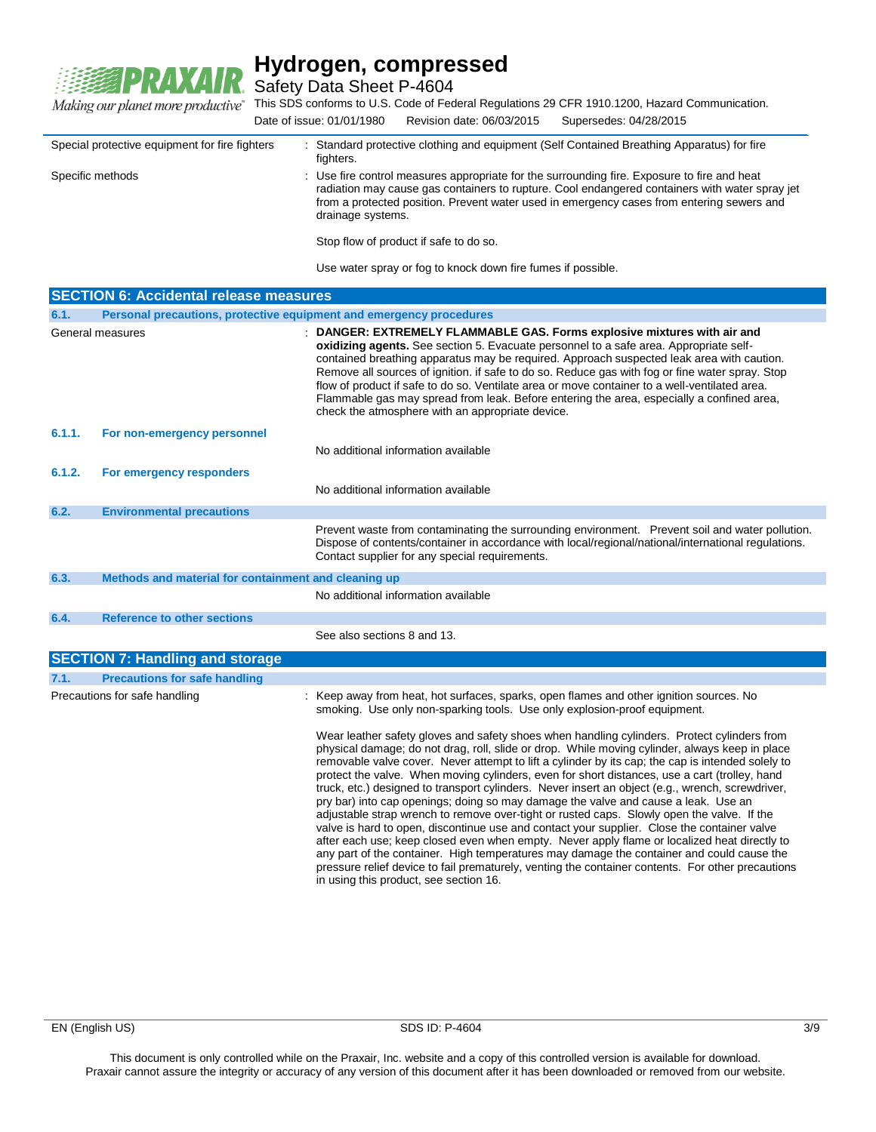

Safety Data Sheet P-4604

This SDS conforms to U.S. Code of Federal Regulations 29 CFR 1910.1200, Hazard Communication. Date of issue: 01/01/1980 Revision date: 06/03/2015 Supersedes: 04/28/2015

| Special protective equipment for fire fighters | : Standard protective clothing and equipment (Self Contained Breathing Apparatus) for fire<br>fighters.                                                                                                                                                                                                         |
|------------------------------------------------|-----------------------------------------------------------------------------------------------------------------------------------------------------------------------------------------------------------------------------------------------------------------------------------------------------------------|
| Specific methods                               | : Use fire control measures appropriate for the surrounding fire. Exposure to fire and heat<br>radiation may cause gas containers to rupture. Cool endangered containers with water spray jet<br>from a protected position. Prevent water used in emergency cases from entering sewers and<br>drainage systems. |
|                                                | Stop flow of product if safe to do so.                                                                                                                                                                                                                                                                          |

Use water spray or fog to knock down fire fumes if possible.

| <b>SECTION 6: Accidental release measures</b> |                                                                     |                                                                                                                                                                                                                                                                                                                                                                                                                                                                                                                                                                                                                                                                                                                                                                                                                                                                                                                                                                                                                                                                                                                                        |  |  |  |
|-----------------------------------------------|---------------------------------------------------------------------|----------------------------------------------------------------------------------------------------------------------------------------------------------------------------------------------------------------------------------------------------------------------------------------------------------------------------------------------------------------------------------------------------------------------------------------------------------------------------------------------------------------------------------------------------------------------------------------------------------------------------------------------------------------------------------------------------------------------------------------------------------------------------------------------------------------------------------------------------------------------------------------------------------------------------------------------------------------------------------------------------------------------------------------------------------------------------------------------------------------------------------------|--|--|--|
| 6.1.                                          | Personal precautions, protective equipment and emergency procedures |                                                                                                                                                                                                                                                                                                                                                                                                                                                                                                                                                                                                                                                                                                                                                                                                                                                                                                                                                                                                                                                                                                                                        |  |  |  |
|                                               | General measures                                                    | : DANGER: EXTREMELY FLAMMABLE GAS. Forms explosive mixtures with air and<br>oxidizing agents. See section 5. Evacuate personnel to a safe area. Appropriate self-<br>contained breathing apparatus may be required. Approach suspected leak area with caution.<br>Remove all sources of ignition. if safe to do so. Reduce gas with fog or fine water spray. Stop<br>flow of product if safe to do so. Ventilate area or move container to a well-ventilated area.<br>Flammable gas may spread from leak. Before entering the area, especially a confined area,<br>check the atmosphere with an appropriate device.                                                                                                                                                                                                                                                                                                                                                                                                                                                                                                                    |  |  |  |
| 6.1.1.                                        | For non-emergency personnel                                         | No additional information available                                                                                                                                                                                                                                                                                                                                                                                                                                                                                                                                                                                                                                                                                                                                                                                                                                                                                                                                                                                                                                                                                                    |  |  |  |
| 6.1.2.                                        | For emergency responders                                            | No additional information available                                                                                                                                                                                                                                                                                                                                                                                                                                                                                                                                                                                                                                                                                                                                                                                                                                                                                                                                                                                                                                                                                                    |  |  |  |
| 6.2.                                          | <b>Environmental precautions</b>                                    |                                                                                                                                                                                                                                                                                                                                                                                                                                                                                                                                                                                                                                                                                                                                                                                                                                                                                                                                                                                                                                                                                                                                        |  |  |  |
|                                               |                                                                     | Prevent waste from contaminating the surrounding environment. Prevent soil and water pollution.<br>Dispose of contents/container in accordance with local/regional/national/international regulations.<br>Contact supplier for any special requirements.                                                                                                                                                                                                                                                                                                                                                                                                                                                                                                                                                                                                                                                                                                                                                                                                                                                                               |  |  |  |
| 6.3.                                          | Methods and material for containment and cleaning up                |                                                                                                                                                                                                                                                                                                                                                                                                                                                                                                                                                                                                                                                                                                                                                                                                                                                                                                                                                                                                                                                                                                                                        |  |  |  |
|                                               |                                                                     | No additional information available                                                                                                                                                                                                                                                                                                                                                                                                                                                                                                                                                                                                                                                                                                                                                                                                                                                                                                                                                                                                                                                                                                    |  |  |  |
| 6.4.                                          | <b>Reference to other sections</b>                                  |                                                                                                                                                                                                                                                                                                                                                                                                                                                                                                                                                                                                                                                                                                                                                                                                                                                                                                                                                                                                                                                                                                                                        |  |  |  |
|                                               |                                                                     | See also sections 8 and 13.                                                                                                                                                                                                                                                                                                                                                                                                                                                                                                                                                                                                                                                                                                                                                                                                                                                                                                                                                                                                                                                                                                            |  |  |  |
|                                               | <b>SECTION 7: Handling and storage</b>                              |                                                                                                                                                                                                                                                                                                                                                                                                                                                                                                                                                                                                                                                                                                                                                                                                                                                                                                                                                                                                                                                                                                                                        |  |  |  |
| 7.1.                                          | <b>Precautions for safe handling</b>                                |                                                                                                                                                                                                                                                                                                                                                                                                                                                                                                                                                                                                                                                                                                                                                                                                                                                                                                                                                                                                                                                                                                                                        |  |  |  |
|                                               | Precautions for safe handling                                       | : Keep away from heat, hot surfaces, sparks, open flames and other ignition sources. No<br>smoking. Use only non-sparking tools. Use only explosion-proof equipment.                                                                                                                                                                                                                                                                                                                                                                                                                                                                                                                                                                                                                                                                                                                                                                                                                                                                                                                                                                   |  |  |  |
|                                               |                                                                     | Wear leather safety gloves and safety shoes when handling cylinders. Protect cylinders from<br>physical damage; do not drag, roll, slide or drop. While moving cylinder, always keep in place<br>removable valve cover. Never attempt to lift a cylinder by its cap; the cap is intended solely to<br>protect the valve. When moving cylinders, even for short distances, use a cart (trolley, hand<br>truck, etc.) designed to transport cylinders. Never insert an object (e.g., wrench, screwdriver,<br>pry bar) into cap openings; doing so may damage the valve and cause a leak. Use an<br>adjustable strap wrench to remove over-tight or rusted caps. Slowly open the valve. If the<br>valve is hard to open, discontinue use and contact your supplier. Close the container valve<br>after each use; keep closed even when empty. Never apply flame or localized heat directly to<br>any part of the container. High temperatures may damage the container and could cause the<br>pressure relief device to fail prematurely, venting the container contents. For other precautions<br>in using this product, see section 16. |  |  |  |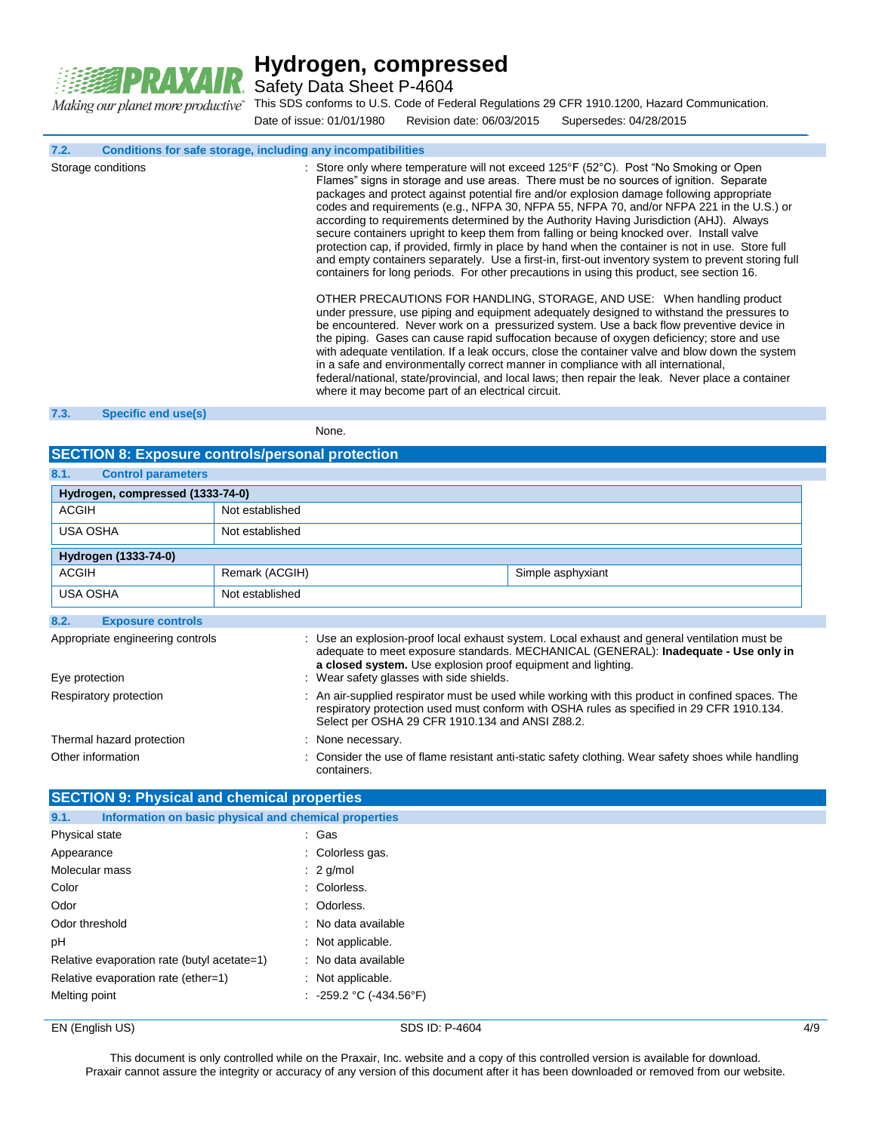

Safety Data Sheet P-4604

This SDS conforms to U.S. Code of Federal Regulations 29 CFR 1910.1200, Hazard Communication. Date of issue: 01/01/1980 Revision date: 06/03/2015 Supersedes: 04/28/2015

**7.2. Conditions for safe storage, including any incompatibilities**

| Storage conditions | : Store only where temperature will not exceed 125°F (52°C). Post "No Smoking or Open<br>Flames" signs in storage and use areas. There must be no sources of ignition. Separate<br>packages and protect against potential fire and/or explosion damage following appropriate<br>codes and requirements (e.g., NFPA 30, NFPA 55, NFPA 70, and/or NFPA 221 in the U.S.) or<br>according to requirements determined by the Authority Having Jurisdiction (AHJ). Always<br>secure containers upright to keep them from falling or being knocked over. Install valve<br>protection cap, if provided, firmly in place by hand when the container is not in use. Store full<br>and empty containers separately. Use a first-in, first-out inventory system to prevent storing full<br>containers for long periods. For other precautions in using this product, see section 16. |
|--------------------|--------------------------------------------------------------------------------------------------------------------------------------------------------------------------------------------------------------------------------------------------------------------------------------------------------------------------------------------------------------------------------------------------------------------------------------------------------------------------------------------------------------------------------------------------------------------------------------------------------------------------------------------------------------------------------------------------------------------------------------------------------------------------------------------------------------------------------------------------------------------------|
|                    | OTHER PRECAUTIONS FOR HANDLING, STORAGE, AND USE: When handling product<br>under pressure, use piping and equipment adequately designed to withstand the pressures to<br>be encountered. Never work on a pressurized system. Use a back flow preventive device in<br>the piping. Gases can cause rapid suffocation because of oxygen deficiency; store and use<br>with adequate ventilation. If a leak occurs, close the container valve and blow down the system<br>in a safe and environmentally correct manner in compliance with all international,<br>federal/national, state/provincial, and local laws; then repair the leak. Never place a container<br>where it may become part of an electrical circuit.                                                                                                                                                       |

#### **7.3. Specific end use(s)**

None.

### **SECTION 8: Exposure controls/personal protection**

| 8.1.<br><b>Control parameters</b> |                 |                                                                                                                                                                                                                                                   |                                                                                                                                                                                     |  |
|-----------------------------------|-----------------|---------------------------------------------------------------------------------------------------------------------------------------------------------------------------------------------------------------------------------------------------|-------------------------------------------------------------------------------------------------------------------------------------------------------------------------------------|--|
| Hydrogen, compressed (1333-74-0)  |                 |                                                                                                                                                                                                                                                   |                                                                                                                                                                                     |  |
| <b>ACGIH</b>                      | Not established |                                                                                                                                                                                                                                                   |                                                                                                                                                                                     |  |
| USA OSHA                          | Not established |                                                                                                                                                                                                                                                   |                                                                                                                                                                                     |  |
| Hydrogen (1333-74-0)              |                 |                                                                                                                                                                                                                                                   |                                                                                                                                                                                     |  |
| <b>ACGIH</b>                      | Remark (ACGIH)  |                                                                                                                                                                                                                                                   | Simple asphyxiant                                                                                                                                                                   |  |
| USA OSHA                          | Not established |                                                                                                                                                                                                                                                   |                                                                                                                                                                                     |  |
| 8.2.<br><b>Exposure controls</b>  |                 |                                                                                                                                                                                                                                                   |                                                                                                                                                                                     |  |
| Appropriate engineering controls  |                 | a closed system. Use explosion proof equipment and lighting.                                                                                                                                                                                      | : Use an explosion-proof local exhaust system. Local exhaust and general ventilation must be<br>adequate to meet exposure standards. MECHANICAL (GENERAL): Inadequate - Use only in |  |
| Eye protection                    |                 | : Wear safety glasses with side shields.                                                                                                                                                                                                          |                                                                                                                                                                                     |  |
| Respiratory protection            |                 | : An air-supplied respirator must be used while working with this product in confined spaces. The<br>respiratory protection used must conform with OSHA rules as specified in 29 CFR 1910.134.<br>Select per OSHA 29 CFR 1910.134 and ANSI Z88.2. |                                                                                                                                                                                     |  |
| Thermal hazard protection         |                 | : None necessary.                                                                                                                                                                                                                                 |                                                                                                                                                                                     |  |
| Other information                 |                 | containers.                                                                                                                                                                                                                                       | : Consider the use of flame resistant anti-static safety clothing. Wear safety shoes while handling                                                                                 |  |

| <b>SECTION 9: Physical and chemical properties</b>            |                               |  |  |
|---------------------------------------------------------------|-------------------------------|--|--|
| Information on basic physical and chemical properties<br>9.1. |                               |  |  |
| Physical state                                                | : Gas                         |  |  |
| Appearance                                                    | : Colorless gas.              |  |  |
| Molecular mass                                                | $: 2$ g/mol                   |  |  |
| Color                                                         | : Colorless.                  |  |  |
| Odor                                                          | : Odorless.                   |  |  |
| Odor threshold                                                | : No data available           |  |  |
| рH                                                            | : Not applicable.             |  |  |
| Relative evaporation rate (butyl acetate=1)                   | : No data available           |  |  |
| Relative evaporation rate (ether=1)                           | : Not applicable.             |  |  |
| Melting point                                                 | : $-259.2$ °C ( $-434.56$ °F) |  |  |

### EN (English US) and the SDS ID: P-4604 4/9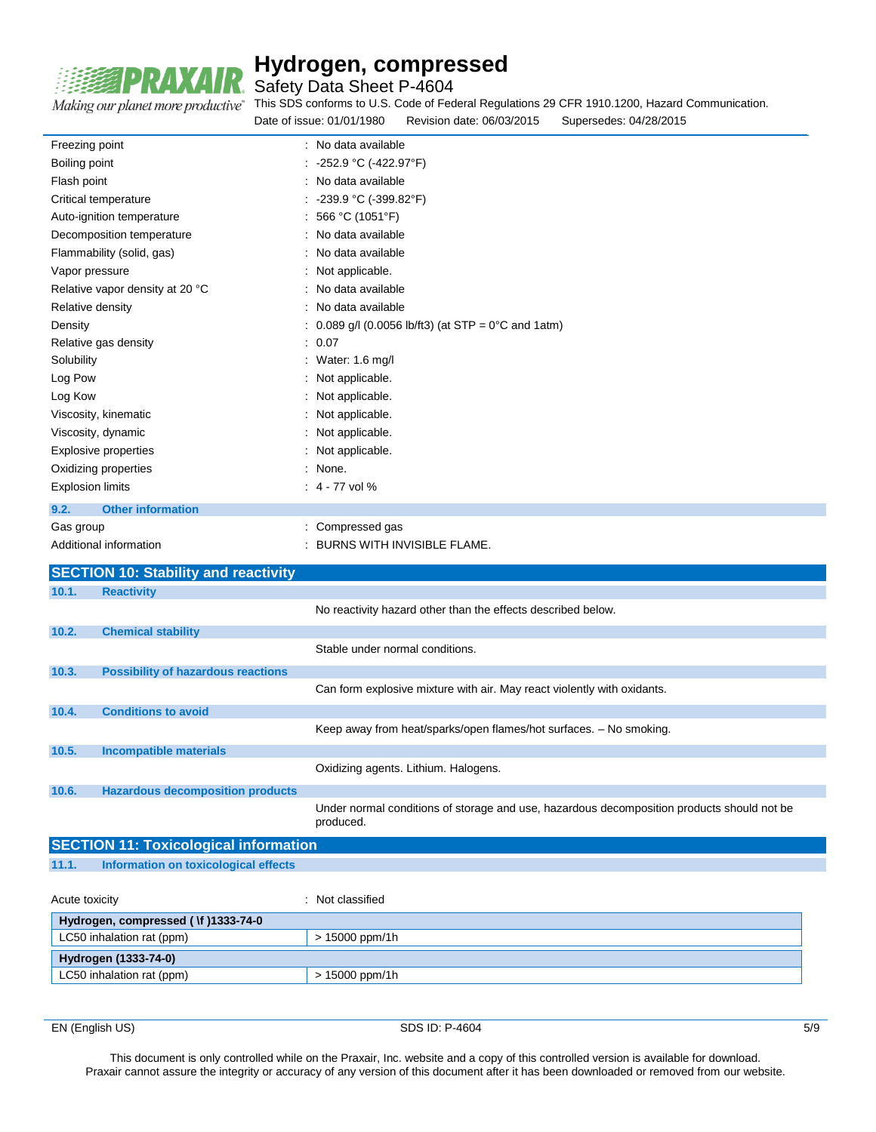

Safety Data Sheet P-4604

Making our planet more productive"

This SDS conforms to U.S. Code of Federal Regulations 29 CFR 1910.1200, Hazard Communication.

|                                  | Date of issue: 01/01/1980<br>Revision date: 06/03/2015<br>Supersedes: 04/28/2015 |  |
|----------------------------------|----------------------------------------------------------------------------------|--|
| Freezing point                   | : No data available                                                              |  |
| Boiling point                    | : -252.9 °C (-422.97°F)                                                          |  |
| Flash point                      | : No data available                                                              |  |
| Critical temperature             | : -239.9 °C (-399.82°F)                                                          |  |
| Auto-ignition temperature        | : 566 °C (1051°F)                                                                |  |
| Decomposition temperature        | : No data available                                                              |  |
| Flammability (solid, gas)        | : No data available                                                              |  |
| Vapor pressure                   | : Not applicable.                                                                |  |
| Relative vapor density at 20 °C  | : No data available                                                              |  |
| Relative density                 | : No data available                                                              |  |
| Density                          | : $0.089$ g/l (0.0056 lb/ft3) (at STP = $0^{\circ}$ C and 1atm)                  |  |
| Relative gas density             | : 0.07                                                                           |  |
| Solubility                       | : Water: 1.6 mg/l                                                                |  |
| Log Pow                          | : Not applicable.                                                                |  |
| Log Kow                          | : Not applicable.                                                                |  |
| Viscosity, kinematic             | : Not applicable.                                                                |  |
| Viscosity, dynamic               | : Not applicable.                                                                |  |
| <b>Explosive properties</b>      | : Not applicable.                                                                |  |
| Oxidizing properties             | : None.                                                                          |  |
| <b>Explosion limits</b>          | $: 4 - 77$ vol %                                                                 |  |
| <b>Other information</b><br>9.2. |                                                                                  |  |
| Gas group                        | : Compressed gas                                                                 |  |
| Additional information           | : BURNS WITH INVISIBLE FLAME.                                                    |  |

|       | <b>SECTION 10: Stability and reactivity</b>  |                                                                                                         |
|-------|----------------------------------------------|---------------------------------------------------------------------------------------------------------|
| 10.1. | <b>Reactivity</b>                            |                                                                                                         |
|       |                                              | No reactivity hazard other than the effects described below.                                            |
| 10.2. | <b>Chemical stability</b>                    |                                                                                                         |
|       |                                              | Stable under normal conditions.                                                                         |
| 10.3. | <b>Possibility of hazardous reactions</b>    |                                                                                                         |
|       |                                              | Can form explosive mixture with air. May react violently with oxidants.                                 |
| 10.4. | <b>Conditions to avoid</b>                   |                                                                                                         |
|       |                                              | Keep away from heat/sparks/open flames/hot surfaces. - No smoking.                                      |
| 10.5. | <b>Incompatible materials</b>                |                                                                                                         |
|       |                                              | Oxidizing agents. Lithium. Halogens.                                                                    |
| 10.6. | <b>Hazardous decomposition products</b>      |                                                                                                         |
|       |                                              | Under normal conditions of storage and use, hazardous decomposition products should not be<br>produced. |
|       | <b>SECTION 11: Toxicological information</b> |                                                                                                         |

**11.1. Information on toxicological effects**

| Acute toxicity                      | Not classified   |  |
|-------------------------------------|------------------|--|
| Hydrogen, compressed (\f )1333-74-0 |                  |  |
| LC50 inhalation rat (ppm)           | $> 15000$ ppm/1h |  |
| Hydrogen (1333-74-0)                |                  |  |
| LC50 inhalation rat (ppm)           | $> 15000$ ppm/1h |  |

EN (English US) 5/9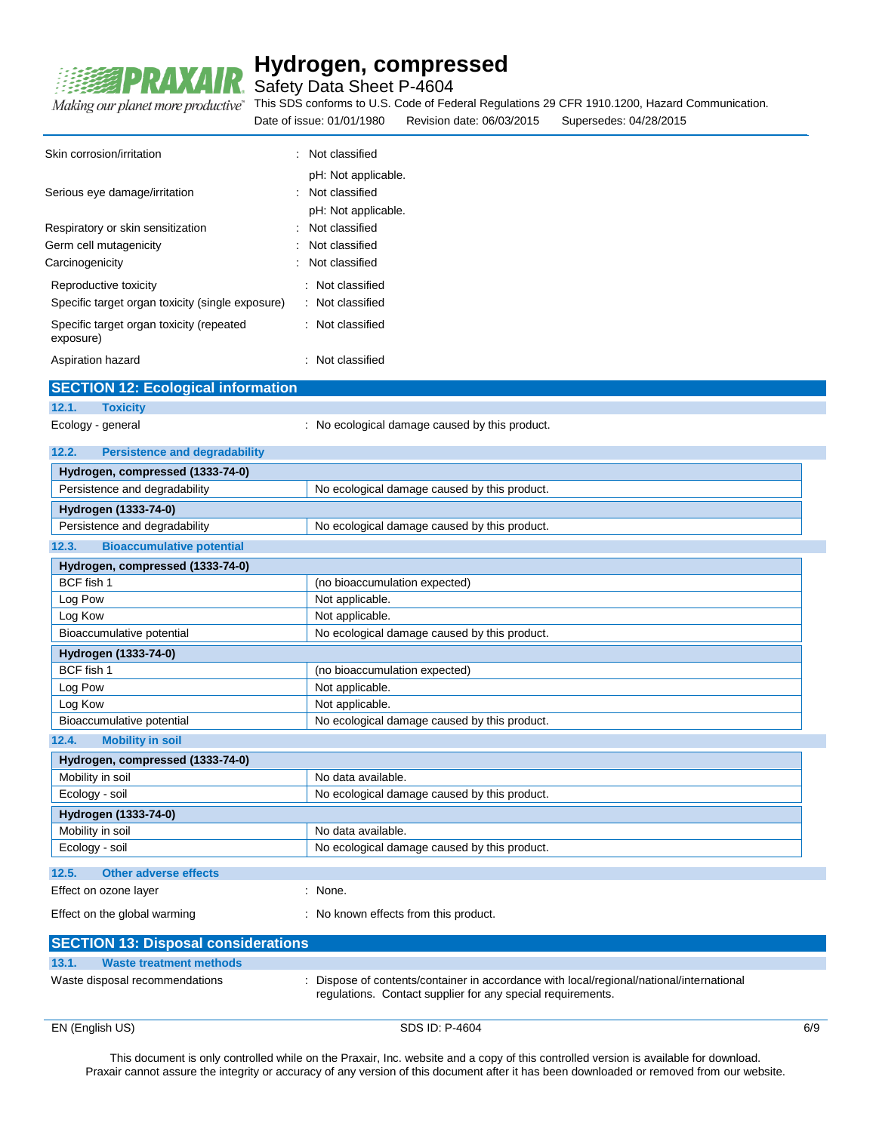

Safety Data Sheet P-4604

This SDS conforms to U.S. Code of Federal Regulations 29 CFR 1910.1200, Hazard Communication.

Date of issue: 01/01/1980 Revision date: 06/03/2015 Supersedes: 04/28/2015

| Skin corrosion/irritation                                                 | Not classified<br>$\overline{\phantom{a}}$                   |
|---------------------------------------------------------------------------|--------------------------------------------------------------|
| Serious eye damage/irritation                                             | pH: Not applicable.<br>Not classified<br>pH: Not applicable. |
| Respiratory or skin sensitization                                         | Not classified                                               |
| Germ cell mutagenicity                                                    | Not classified                                               |
| Carcinogenicity                                                           | : Not classified                                             |
| Reproductive toxicity<br>Specific target organ toxicity (single exposure) | : Not classified<br>: Not classified                         |
| Specific target organ toxicity (repeated<br>exposure)                     | : Not classified                                             |
|                                                                           |                                                              |

Aspiration hazard **in the case of the contract of the case of the contract of the contract of the contract of the contract of the contract of the contract of the contract of the contract of the contract of the contract of SECTION 12: Ecological information**

| 12.1.<br><b>Toxicity</b>         |                                      |                                                |  |
|----------------------------------|--------------------------------------|------------------------------------------------|--|
| Ecology - general                |                                      | : No ecological damage caused by this product. |  |
| 12.2.                            | <b>Persistence and degradability</b> |                                                |  |
|                                  | Hydrogen, compressed (1333-74-0)     |                                                |  |
| Persistence and degradability    |                                      | No ecological damage caused by this product.   |  |
| Hydrogen (1333-74-0)             |                                      |                                                |  |
| Persistence and degradability    |                                      | No ecological damage caused by this product.   |  |
| 12.3.                            | <b>Bioaccumulative potential</b>     |                                                |  |
|                                  | Hydrogen, compressed (1333-74-0)     |                                                |  |
| BCF fish 1                       |                                      | (no bioaccumulation expected)                  |  |
| Log Pow                          |                                      | Not applicable.                                |  |
| Log Kow                          |                                      | Not applicable.                                |  |
| Bioaccumulative potential        |                                      | No ecological damage caused by this product.   |  |
| Hydrogen (1333-74-0)             |                                      |                                                |  |
| BCF fish 1                       |                                      | (no bioaccumulation expected)                  |  |
| Log Pow                          |                                      | Not applicable.                                |  |
| Log Kow                          |                                      | Not applicable.                                |  |
| Bioaccumulative potential        |                                      | No ecological damage caused by this product.   |  |
| <b>Mobility in soil</b><br>12.4. |                                      |                                                |  |
| Hydrogen, compressed (1333-74-0) |                                      |                                                |  |
| Mobility in poil                 |                                      | No doto ovojloblo                              |  |

| Hydrogen, compressed (1333-74-0) |                                              |  |
|----------------------------------|----------------------------------------------|--|
| Mobility in soil                 | No data available.                           |  |
| Ecology - soil                   | No ecological damage caused by this product. |  |
| Hydrogen (1333-74-0)             |                                              |  |
| Mobility in soil                 | No data available.                           |  |
| Ecology - soil                   | No ecological damage caused by this product. |  |
|                                  |                                              |  |
| 12.5.<br>Other adverse effects   |                                              |  |

Effect on ozone layer **in the set of the set of the Set of Security** Points in None.

Effect on the global warming **Effect** on the global warming **interpreteral** : No known effects from this product.

| <b>SECTION 13: Disposal considerations</b> |                                                                                                                                                         |
|--------------------------------------------|---------------------------------------------------------------------------------------------------------------------------------------------------------|
| 13.1.<br>Waste treatment methods           |                                                                                                                                                         |
| Waste disposal recommendations             | : Dispose of contents/container in accordance with local/regional/national/international<br>regulations. Contact supplier for any special requirements. |

EN (English US) 6/9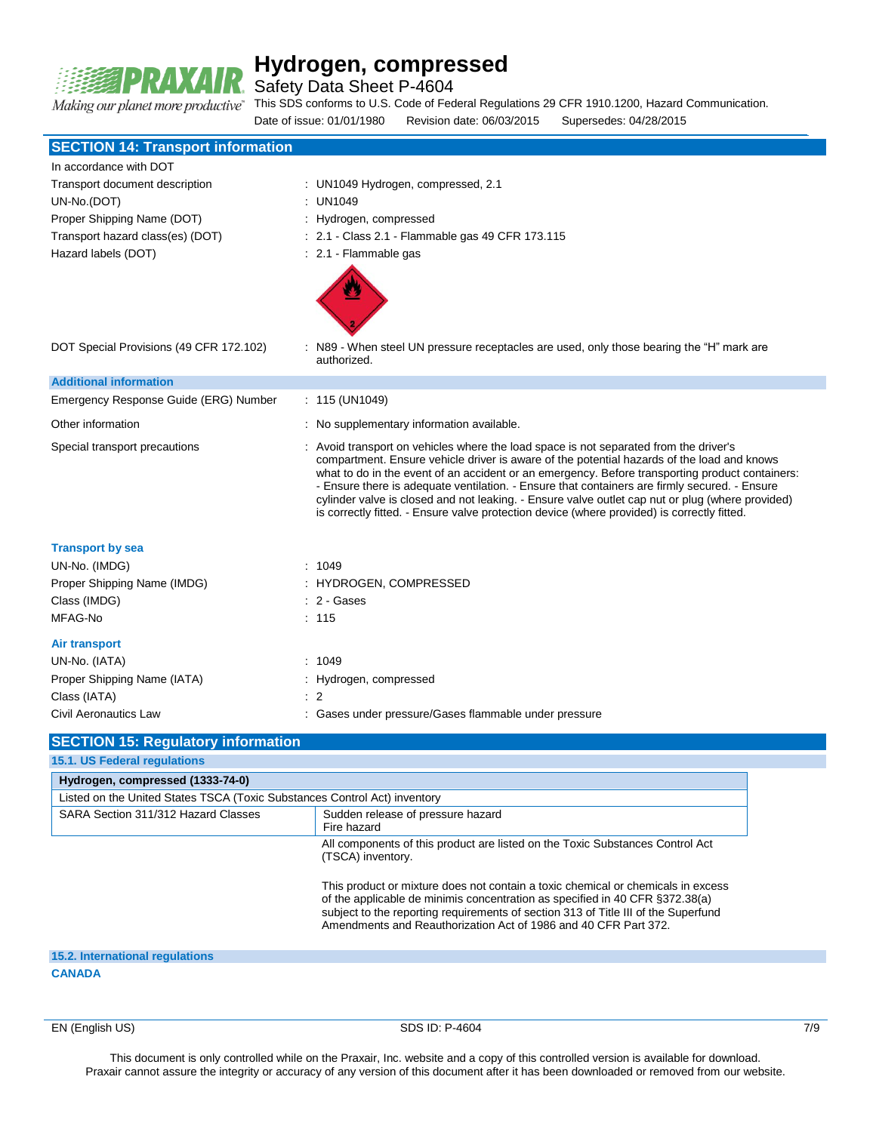

Safety Data Sheet P-4604

This SDS conforms to U.S. Code of Federal Regulations 29 CFR 1910.1200, Hazard Communication.

Date of issue: 01/01/1980 Revision date: 06/03/2015 Supersedes: 04/28/2015

| <b>SECTION 14: Transport information</b>                                  |                                                                                                                                                                                                                                                                                                                                                                                                                                                                                                                                                                                            |
|---------------------------------------------------------------------------|--------------------------------------------------------------------------------------------------------------------------------------------------------------------------------------------------------------------------------------------------------------------------------------------------------------------------------------------------------------------------------------------------------------------------------------------------------------------------------------------------------------------------------------------------------------------------------------------|
| In accordance with DOT                                                    |                                                                                                                                                                                                                                                                                                                                                                                                                                                                                                                                                                                            |
| Transport document description                                            | : UN1049 Hydrogen, compressed, 2.1                                                                                                                                                                                                                                                                                                                                                                                                                                                                                                                                                         |
| UN-No.(DOT)                                                               | : UN1049                                                                                                                                                                                                                                                                                                                                                                                                                                                                                                                                                                                   |
| Proper Shipping Name (DOT)                                                | Hydrogen, compressed                                                                                                                                                                                                                                                                                                                                                                                                                                                                                                                                                                       |
| Transport hazard class(es) (DOT)                                          | : 2.1 - Class 2.1 - Flammable gas 49 CFR 173.115                                                                                                                                                                                                                                                                                                                                                                                                                                                                                                                                           |
| Hazard labels (DOT)                                                       | : 2.1 - Flammable gas                                                                                                                                                                                                                                                                                                                                                                                                                                                                                                                                                                      |
| DOT Special Provisions (49 CFR 172.102)                                   | : N89 - When steel UN pressure receptacles are used, only those bearing the "H" mark are<br>authorized.                                                                                                                                                                                                                                                                                                                                                                                                                                                                                    |
| <b>Additional information</b>                                             |                                                                                                                                                                                                                                                                                                                                                                                                                                                                                                                                                                                            |
| Emergency Response Guide (ERG) Number                                     | : 115 (UN1049)                                                                                                                                                                                                                                                                                                                                                                                                                                                                                                                                                                             |
| Other information                                                         | : No supplementary information available.                                                                                                                                                                                                                                                                                                                                                                                                                                                                                                                                                  |
| Special transport precautions                                             | : Avoid transport on vehicles where the load space is not separated from the driver's<br>compartment. Ensure vehicle driver is aware of the potential hazards of the load and knows<br>what to do in the event of an accident or an emergency. Before transporting product containers:<br>- Ensure there is adequate ventilation. - Ensure that containers are firmly secured. - Ensure<br>cylinder valve is closed and not leaking. - Ensure valve outlet cap nut or plug (where provided)<br>is correctly fitted. - Ensure valve protection device (where provided) is correctly fitted. |
| <b>Transport by sea</b>                                                   |                                                                                                                                                                                                                                                                                                                                                                                                                                                                                                                                                                                            |
| UN-No. (IMDG)                                                             | : 1049                                                                                                                                                                                                                                                                                                                                                                                                                                                                                                                                                                                     |
| Proper Shipping Name (IMDG)                                               | : HYDROGEN, COMPRESSED                                                                                                                                                                                                                                                                                                                                                                                                                                                                                                                                                                     |
| Class (IMDG)                                                              | : 2 - Gases                                                                                                                                                                                                                                                                                                                                                                                                                                                                                                                                                                                |
| MFAG-No                                                                   | : 115                                                                                                                                                                                                                                                                                                                                                                                                                                                                                                                                                                                      |
| <b>Air transport</b>                                                      |                                                                                                                                                                                                                                                                                                                                                                                                                                                                                                                                                                                            |
| UN-No. (IATA)                                                             | : 1049                                                                                                                                                                                                                                                                                                                                                                                                                                                                                                                                                                                     |
| Proper Shipping Name (IATA)                                               | : Hydrogen, compressed                                                                                                                                                                                                                                                                                                                                                                                                                                                                                                                                                                     |
| Class (IATA)                                                              | $\therefore$ 2                                                                                                                                                                                                                                                                                                                                                                                                                                                                                                                                                                             |
| Civil Aeronautics Law                                                     | : Gases under pressure/Gases flammable under pressure                                                                                                                                                                                                                                                                                                                                                                                                                                                                                                                                      |
| <b>SECTION 15: Regulatory information</b><br>15.1 US Federal requisitions |                                                                                                                                                                                                                                                                                                                                                                                                                                                                                                                                                                                            |

| Hydrogen, compressed (1333-74-0)                                                        |                                                                                                                                                                                                                                                                                                                           |
|-----------------------------------------------------------------------------------------|---------------------------------------------------------------------------------------------------------------------------------------------------------------------------------------------------------------------------------------------------------------------------------------------------------------------------|
| Listed on the United States TSCA (Toxic Substances Control Act) inventory               |                                                                                                                                                                                                                                                                                                                           |
| SARA Section 311/312 Hazard Classes<br>Sudden release of pressure hazard<br>Fire hazard |                                                                                                                                                                                                                                                                                                                           |
|                                                                                         | All components of this product are listed on the Toxic Substances Control Act<br>(TSCA) inventory.                                                                                                                                                                                                                        |
|                                                                                         | This product or mixture does not contain a toxic chemical or chemicals in excess<br>of the applicable de minimis concentration as specified in 40 CFR §372.38(a)<br>subject to the reporting requirements of section 313 of Title III of the Superfund<br>Amendments and Reauthorization Act of 1986 and 40 CFR Part 372. |
| <b>15.2. International regulations</b>                                                  |                                                                                                                                                                                                                                                                                                                           |

**CANADA**

EN (English US) 8DS ID: P-4604 7/9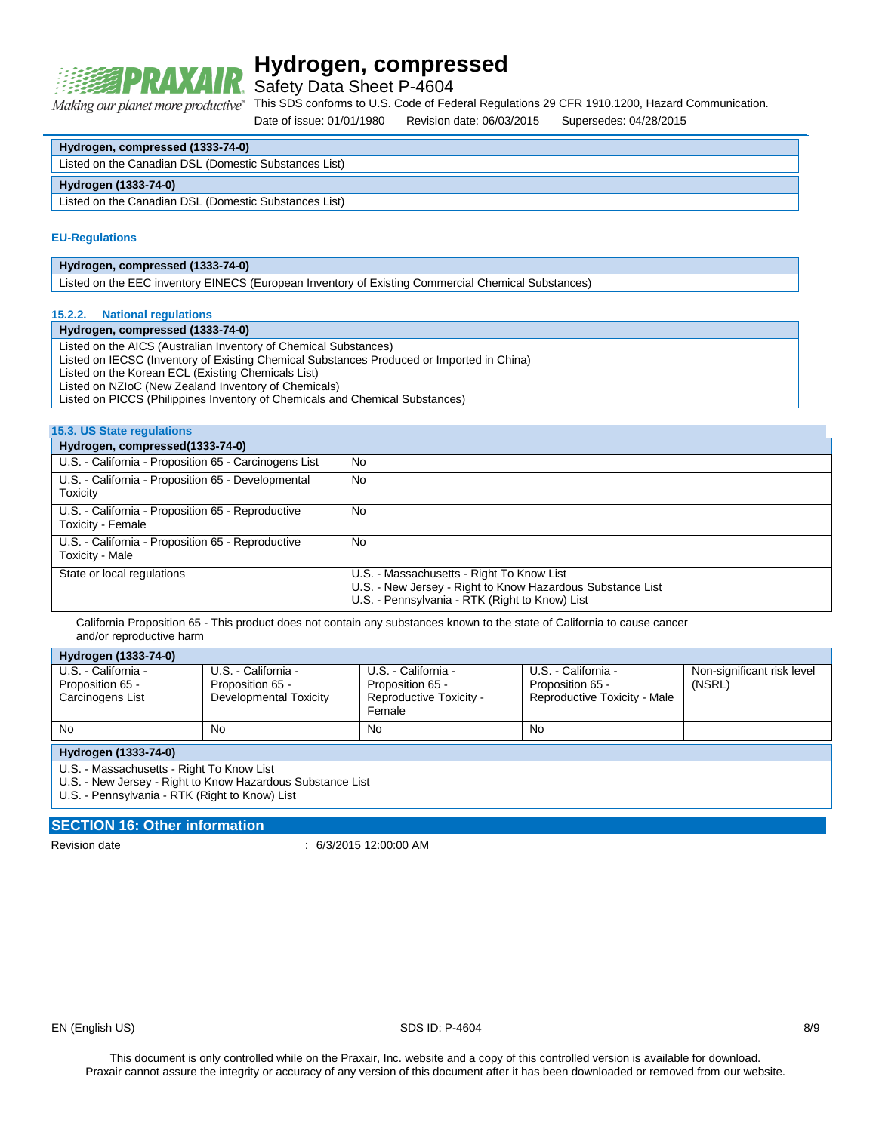

Safety Data Sheet P-4604

This SDS conforms to U.S. Code of Federal Regulations 29 CFR 1910.1200, Hazard Communication. Making our planet more productive"

Date of issue: 01/01/1980 Revision date: 06/03/2015 Supersedes: 04/28/2015

| Hydrogen, compressed (1333-74-0) |  |
|----------------------------------|--|
|----------------------------------|--|

**Hydrogen (1333-74-0)**

Listed on the Canadian DSL (Domestic Substances List)

#### **EU-Regulations**

### **Hydrogen, compressed (1333-74-0)**

Listed on the EEC inventory EINECS (European Inventory of Existing Commercial Chemical Substances)

### **15.2.2. National regulations**

### **Hydrogen, compressed (1333-74-0)**

Listed on the AICS (Australian Inventory of Chemical Substances) Listed on IECSC (Inventory of Existing Chemical Substances Produced or Imported in China) Listed on the Korean ECL (Existing Chemicals List) Listed on NZIoC (New Zealand Inventory of Chemicals) Listed on PICCS (Philippines Inventory of Chemicals and Chemical Substances)

#### **15.3. US State regulations**

| Hydrogen, compressed(1333-74-0)                                        |                                                                                                                                                           |
|------------------------------------------------------------------------|-----------------------------------------------------------------------------------------------------------------------------------------------------------|
| U.S. - California - Proposition 65 - Carcinogens List                  | <b>No</b>                                                                                                                                                 |
| U.S. - California - Proposition 65 - Developmental<br>Toxicity         | <b>No</b>                                                                                                                                                 |
| U.S. - California - Proposition 65 - Reproductive<br>Toxicity - Female | No                                                                                                                                                        |
| U.S. - California - Proposition 65 - Reproductive<br>Toxicity - Male   | No                                                                                                                                                        |
| State or local regulations                                             | U.S. - Massachusetts - Right To Know List<br>U.S. - New Jersey - Right to Know Hazardous Substance List<br>U.S. - Pennsylvania - RTK (Right to Know) List |

California Proposition 65 - This product does not contain any substances known to the state of California to cause cancer and/or reproductive harm

### **Hydrogen (1333-74-0)**

| $11$ varogon (1999–14–0)                                    |                                                                   |                                                                              |                                                                         |                                      |
|-------------------------------------------------------------|-------------------------------------------------------------------|------------------------------------------------------------------------------|-------------------------------------------------------------------------|--------------------------------------|
| U.S. - California -<br>Proposition 65 -<br>Carcinogens List | U.S. - California -<br>Proposition 65 -<br>Developmental Toxicity | U.S. - California -<br>Proposition 65 -<br>Reproductive Toxicity -<br>Female | U.S. - California -<br>Proposition 65 -<br>Reproductive Toxicity - Male | Non-significant risk level<br>(NSRL) |
| <b>No</b>                                                   | No                                                                | No                                                                           | No                                                                      |                                      |

**Hydrogen (1333-74-0)**

U.S. - Massachusetts - Right To Know List

U.S. - New Jersey - Right to Know Hazardous Substance List

U.S. - Pennsylvania - RTK (Right to Know) List

### **SECTION 16: Other information**

Revision date : 6/3/2015 12:00:00 AM